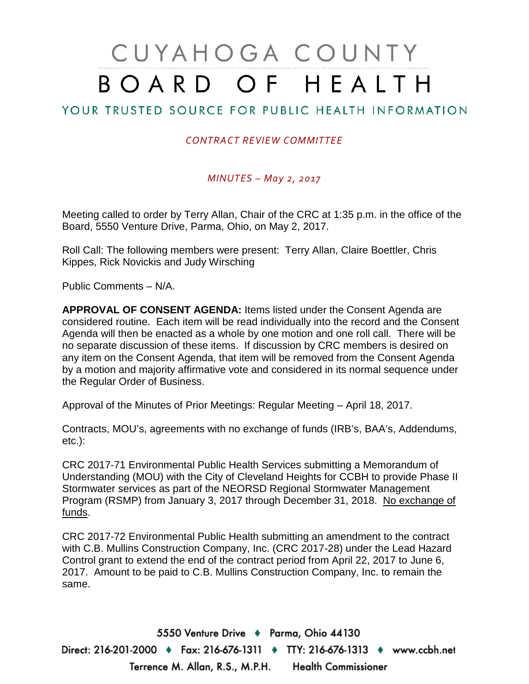# CUYAHOGA COUNTY BOARD OF HEALTH

# YOUR TRUSTED SOURCE FOR PUBLIC HEALTH INFORMATION

#### *CONTRACT REVIEW COMMITTEE*

#### *MINUTES – May 2, 2017*

Meeting called to order by Terry Allan, Chair of the CRC at 1:35 p.m. in the office of the Board, 5550 Venture Drive, Parma, Ohio, on May 2, 2017.

Roll Call: The following members were present: Terry Allan, Claire Boettler, Chris Kippes, Rick Novickis and Judy Wirsching

Public Comments – N/A.

**APPROVAL OF CONSENT AGENDA:** Items listed under the Consent Agenda are considered routine. Each item will be read individually into the record and the Consent Agenda will then be enacted as a whole by one motion and one roll call. There will be no separate discussion of these items. If discussion by CRC members is desired on any item on the Consent Agenda, that item will be removed from the Consent Agenda by a motion and majority affirmative vote and considered in its normal sequence under the Regular Order of Business.

Approval of the Minutes of Prior Meetings: Regular Meeting – April 18, 2017.

Contracts, MOU's, agreements with no exchange of funds (IRB's, BAA's, Addendums, etc.):

CRC 2017-71 Environmental Public Health Services submitting a Memorandum of Understanding (MOU) with the City of Cleveland Heights for CCBH to provide Phase II Stormwater services as part of the NEORSD Regional Stormwater Management Program (RSMP) from January 3, 2017 through December 31, 2018. No exchange of funds.

CRC 2017-72 Environmental Public Health submitting an amendment to the contract with C.B. Mullins Construction Company, Inc. (CRC 2017-28) under the Lead Hazard Control grant to extend the end of the contract period from April 22, 2017 to June 6, 2017. Amount to be paid to C.B. Mullins Construction Company, Inc. to remain the same.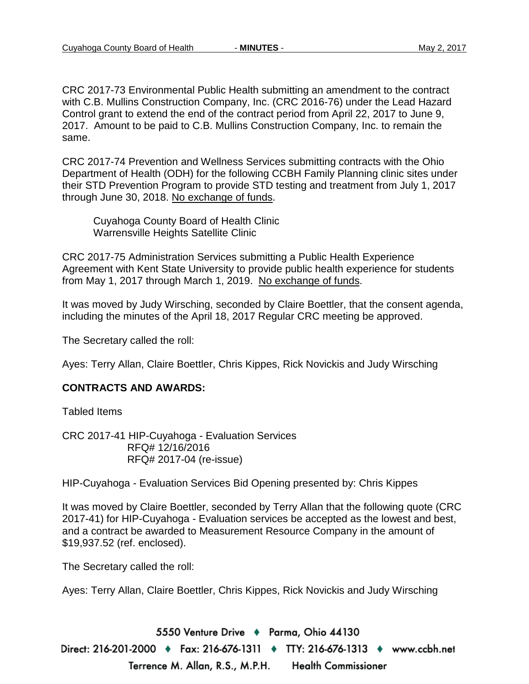CRC 2017-73 Environmental Public Health submitting an amendment to the contract with C.B. Mullins Construction Company, Inc. (CRC 2016-76) under the Lead Hazard Control grant to extend the end of the contract period from April 22, 2017 to June 9, 2017. Amount to be paid to C.B. Mullins Construction Company, Inc. to remain the same.

CRC 2017-74 Prevention and Wellness Services submitting contracts with the Ohio Department of Health (ODH) for the following CCBH Family Planning clinic sites under their STD Prevention Program to provide STD testing and treatment from July 1, 2017 through June 30, 2018. No exchange of funds.

Cuyahoga County Board of Health Clinic Warrensville Heights Satellite Clinic

CRC 2017-75 Administration Services submitting a Public Health Experience Agreement with Kent State University to provide public health experience for students from May 1, 2017 through March 1, 2019. No exchange of funds.

It was moved by Judy Wirsching, seconded by Claire Boettler, that the consent agenda, including the minutes of the April 18, 2017 Regular CRC meeting be approved.

The Secretary called the roll:

Ayes: Terry Allan, Claire Boettler, Chris Kippes, Rick Novickis and Judy Wirsching

#### **CONTRACTS AND AWARDS:**

Tabled Items

CRC 2017-41 HIP-Cuyahoga - Evaluation Services RFQ# 12/16/2016 RFQ# 2017-04 (re-issue)

HIP-Cuyahoga - Evaluation Services Bid Opening presented by: Chris Kippes

It was moved by Claire Boettler, seconded by Terry Allan that the following quote (CRC 2017-41) for HIP-Cuyahoga - Evaluation services be accepted as the lowest and best, and a contract be awarded to Measurement Resource Company in the amount of \$19,937.52 (ref. enclosed).

The Secretary called the roll:

Ayes: Terry Allan, Claire Boettler, Chris Kippes, Rick Novickis and Judy Wirsching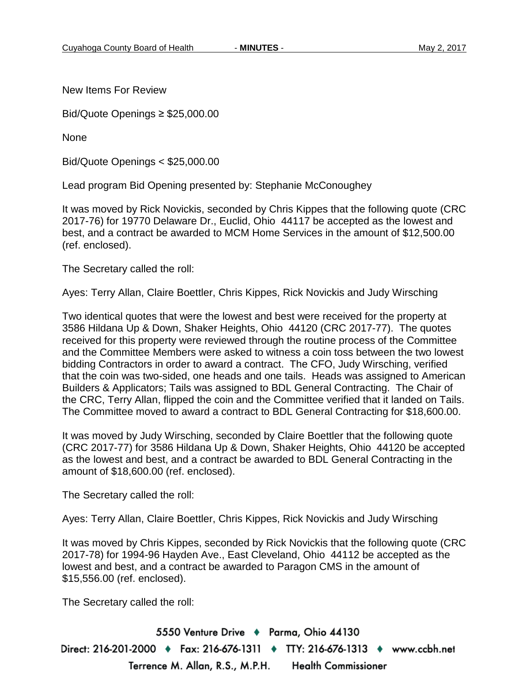New Items For Review

Bid/Quote Openings ≥ \$25,000.00

None

Bid/Quote Openings < \$25,000.00

Lead program Bid Opening presented by: Stephanie McConoughey

It was moved by Rick Novickis, seconded by Chris Kippes that the following quote (CRC 2017-76) for 19770 Delaware Dr., Euclid, Ohio 44117 be accepted as the lowest and best, and a contract be awarded to MCM Home Services in the amount of \$12,500.00 (ref. enclosed).

The Secretary called the roll:

Ayes: Terry Allan, Claire Boettler, Chris Kippes, Rick Novickis and Judy Wirsching

Two identical quotes that were the lowest and best were received for the property at 3586 Hildana Up & Down, Shaker Heights, Ohio 44120 (CRC 2017-77). The quotes received for this property were reviewed through the routine process of the Committee and the Committee Members were asked to witness a coin toss between the two lowest bidding Contractors in order to award a contract. The CFO, Judy Wirsching, verified that the coin was two-sided, one heads and one tails. Heads was assigned to American Builders & Applicators; Tails was assigned to BDL General Contracting. The Chair of the CRC, Terry Allan, flipped the coin and the Committee verified that it landed on Tails. The Committee moved to award a contract to BDL General Contracting for \$18,600.00.

It was moved by Judy Wirsching, seconded by Claire Boettler that the following quote (CRC 2017-77) for 3586 Hildana Up & Down, Shaker Heights, Ohio 44120 be accepted as the lowest and best, and a contract be awarded to BDL General Contracting in the amount of \$18,600.00 (ref. enclosed).

The Secretary called the roll:

Ayes: Terry Allan, Claire Boettler, Chris Kippes, Rick Novickis and Judy Wirsching

It was moved by Chris Kippes, seconded by Rick Novickis that the following quote (CRC 2017-78) for 1994-96 Hayden Ave., East Cleveland, Ohio 44112 be accepted as the lowest and best, and a contract be awarded to Paragon CMS in the amount of \$15,556.00 (ref. enclosed).

The Secretary called the roll: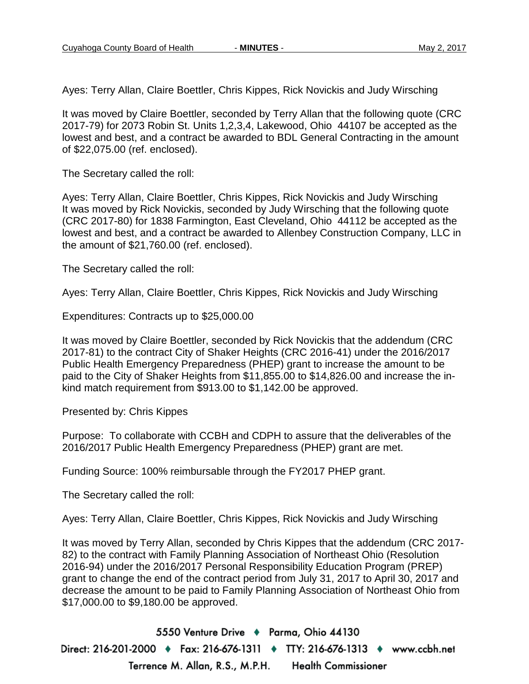Ayes: Terry Allan, Claire Boettler, Chris Kippes, Rick Novickis and Judy Wirsching

It was moved by Claire Boettler, seconded by Terry Allan that the following quote (CRC 2017-79) for 2073 Robin St. Units 1,2,3,4, Lakewood, Ohio 44107 be accepted as the lowest and best, and a contract be awarded to BDL General Contracting in the amount of \$22,075.00 (ref. enclosed).

The Secretary called the roll:

Ayes: Terry Allan, Claire Boettler, Chris Kippes, Rick Novickis and Judy Wirsching It was moved by Rick Novickis, seconded by Judy Wirsching that the following quote (CRC 2017-80) for 1838 Farmington, East Cleveland, Ohio 44112 be accepted as the lowest and best, and a contract be awarded to Allenbey Construction Company, LLC in the amount of \$21,760.00 (ref. enclosed).

The Secretary called the roll:

Ayes: Terry Allan, Claire Boettler, Chris Kippes, Rick Novickis and Judy Wirsching

Expenditures: Contracts up to \$25,000.00

It was moved by Claire Boettler, seconded by Rick Novickis that the addendum (CRC 2017-81) to the contract City of Shaker Heights (CRC 2016-41) under the 2016/2017 Public Health Emergency Preparedness (PHEP) grant to increase the amount to be paid to the City of Shaker Heights from \$11,855.00 to \$14,826.00 and increase the inkind match requirement from \$913.00 to \$1,142.00 be approved.

Presented by: Chris Kippes

Purpose: To collaborate with CCBH and CDPH to assure that the deliverables of the 2016/2017 Public Health Emergency Preparedness (PHEP) grant are met.

Funding Source: 100% reimbursable through the FY2017 PHEP grant.

The Secretary called the roll:

Ayes: Terry Allan, Claire Boettler, Chris Kippes, Rick Novickis and Judy Wirsching

It was moved by Terry Allan, seconded by Chris Kippes that the addendum (CRC 2017- 82) to the contract with Family Planning Association of Northeast Ohio (Resolution 2016-94) under the 2016/2017 Personal Responsibility Education Program (PREP) grant to change the end of the contract period from July 31, 2017 to April 30, 2017 and decrease the amount to be paid to Family Planning Association of Northeast Ohio from \$17,000.00 to \$9,180.00 be approved.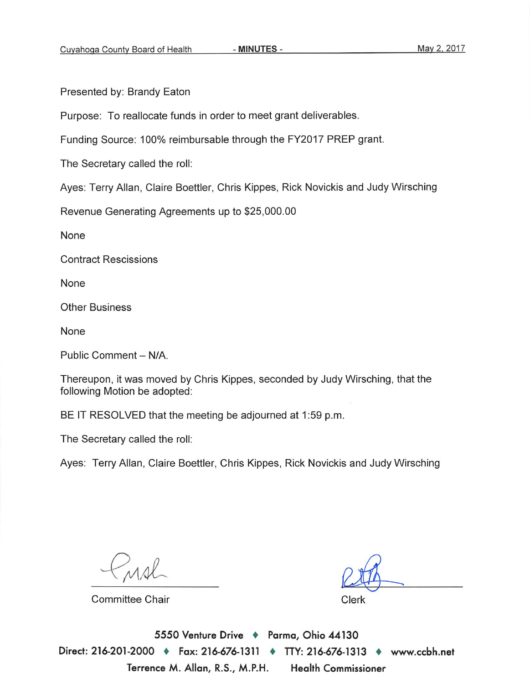Presented by: Brandy Eaton

Purpose: To reallocate funds in order to meet grant deliverables.

Funding Source: 100% reimbursable through the FY2017 PREP grant.

The Secretary called the roll:

Ayes: Terry Allan, Claire Boettler, Chris Kippes, Rick Novickis and Judy Wirsching

Revenue Generating Agreements up to \$25,000.00

None

**Contract Rescissions** 

None

**Other Business** 

None

Public Comment - N/A

Thereupon, it was moved by Chris Kippes, seconded by Judy Wirsching, that the following Motion be adopted:

BE IT RESOLVED that the meeting be adjourned at 1:59 p.m.

The Secretary called the roll:

Ayes: Terry Allan, Claire Boettler, Chris Kippes, Rick Novickis and Judy Wirsching

**Committee Chair** 

Clerk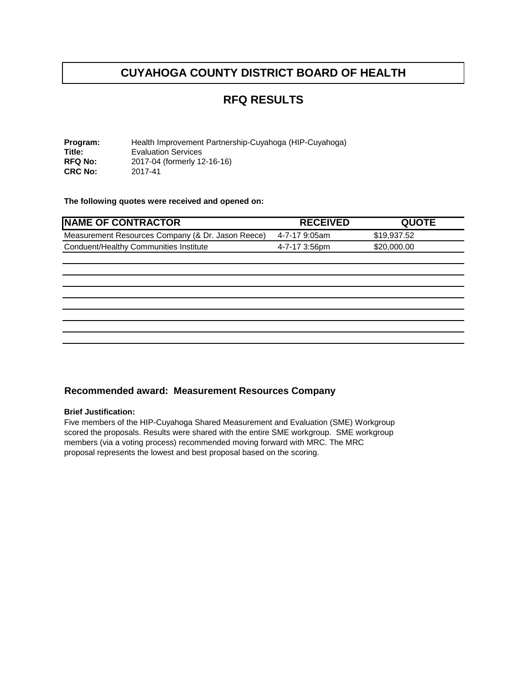## **RFQ RESULTS**

**Program:** Health Improvement Partnership-Cuyahoga (HIP-Cuyahoga)<br> **Title:** Evaluation Services **Title:** Evaluation Services<br>RFQ No: 2017-04 (formerly 12 2017-04 (formerly 12-16-16)<br>2017-41 **CRC No:** 

**The following quotes were received and opened on:** 

| <b>NAME OF CONTRACTOR</b>                         | <b>RECEIVED</b> | <b>QUOTE</b> |
|---------------------------------------------------|-----------------|--------------|
| Measurement Resources Company (& Dr. Jason Reece) | 4-7-17 9:05am   | \$19,937.52  |
| Conduent/Healthy Communities Institute            | 4-7-17 3:56pm   | \$20,000.00  |
|                                                   |                 |              |
|                                                   |                 |              |
|                                                   |                 |              |
|                                                   |                 |              |
|                                                   |                 |              |
|                                                   |                 |              |
|                                                   |                 |              |
|                                                   |                 |              |

#### **Recommended award: Measurement Resources Company**

#### **Brief Justification:**

Five members of the HIP-Cuyahoga Shared Measurement and Evaluation (SME) Workgroup scored the proposals. Results were shared with the entire SME workgroup. SME workgroup members (via a voting process) recommended moving forward with MRC. The MRC proposal represents the lowest and best proposal based on the scoring.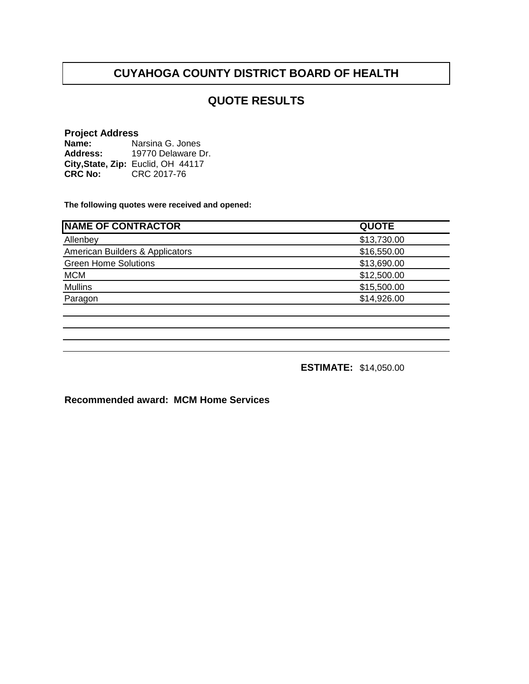#### **QUOTE RESULTS**

#### **Project Address**

| Name:          | Narsina G. Jones                   |
|----------------|------------------------------------|
| Address:       | 19770 Delaware Dr.                 |
|                | City, State, Zip: Euclid, OH 44117 |
| <b>CRC No:</b> | CRC 2017-76                        |

**The following quotes were received and opened:**

| <b>NAME OF CONTRACTOR</b>       | <b>QUOTE</b> |
|---------------------------------|--------------|
| Allenbey                        | \$13,730.00  |
| American Builders & Applicators | \$16,550.00  |
| <b>Green Home Solutions</b>     | \$13,690.00  |
| <b>MCM</b>                      | \$12,500.00  |
| <b>Mullins</b>                  | \$15,500.00  |
| Paragon                         | \$14,926.00  |
|                                 |              |

**ESTIMATE:** \$14,050.00

**Recommended award: MCM Home Services**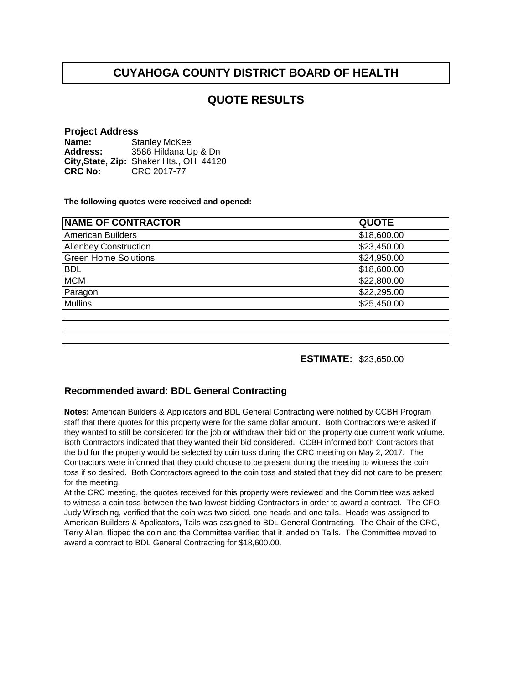#### **QUOTE RESULTS**

#### **Project Address**

**Name: Address: City,State, Zip:** Shaker Hts., OH 44120**CRC No:** CRC 2017-77 Stanley McKee 3586 Hildana Up & Dn

**The following quotes were received and opened:**

| <b>QUOTE</b> |
|--------------|
| \$18,600.00  |
| \$23,450.00  |
| \$24,950.00  |
| \$18,600.00  |
| \$22,800.00  |
| \$22,295.00  |
| \$25,450.00  |
|              |

**ESTIMATE:** \$23,650.00

#### **Recommended award: BDL General Contracting**

**Notes:** American Builders & Applicators and BDL General Contracting were notified by CCBH Program staff that there quotes for this property were for the same dollar amount. Both Contractors were asked if they wanted to still be considered for the job or withdraw their bid on the property due current work volume. Both Contractors indicated that they wanted their bid considered. CCBH informed both Contractors that the bid for the property would be selected by coin toss during the CRC meeting on May 2, 2017. The Contractors were informed that they could choose to be present during the meeting to witness the coin toss if so desired. Both Contractors agreed to the coin toss and stated that they did not care to be present for the meeting.

At the CRC meeting, the quotes received for this property were reviewed and the Committee was asked to witness a coin toss between the two lowest bidding Contractors in order to award a contract. The CFO, Judy Wirsching, verified that the coin was two-sided, one heads and one tails. Heads was assigned to American Builders & Applicators, Tails was assigned to BDL General Contracting. The Chair of the CRC, Terry Allan, flipped the coin and the Committee verified that it landed on Tails. The Committee moved to award a contract to BDL General Contracting for \$18,600.00.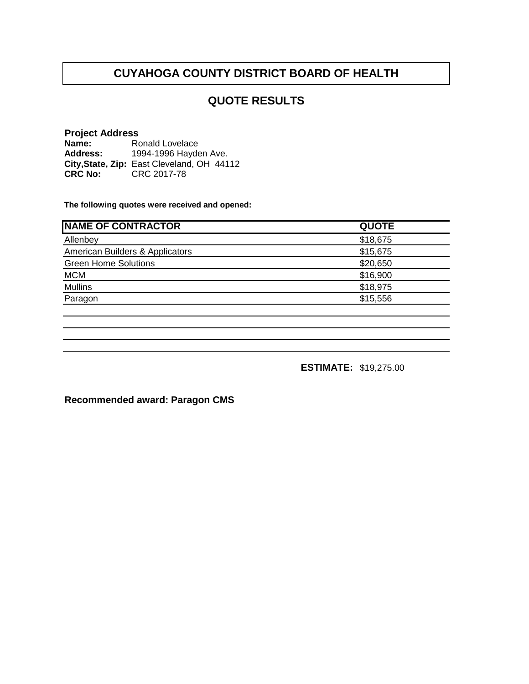# **QUOTE RESULTS**

#### **Project Address**

**Name: Address: City,State, Zip: CRC No:** CRC 2017-78 Ronald Lovelace 1994-1996 Hayden Ave. East Cleveland, OH 44112

**The following quotes were received and opened:**

| <b>QUOTE</b> |
|--------------|
| \$18,675     |
| \$15,675     |
| \$20,650     |
| \$16,900     |
| \$18,975     |
| \$15,556     |
|              |

**ESTIMATE:** \$19,275.00

**Recommended award: Paragon CMS**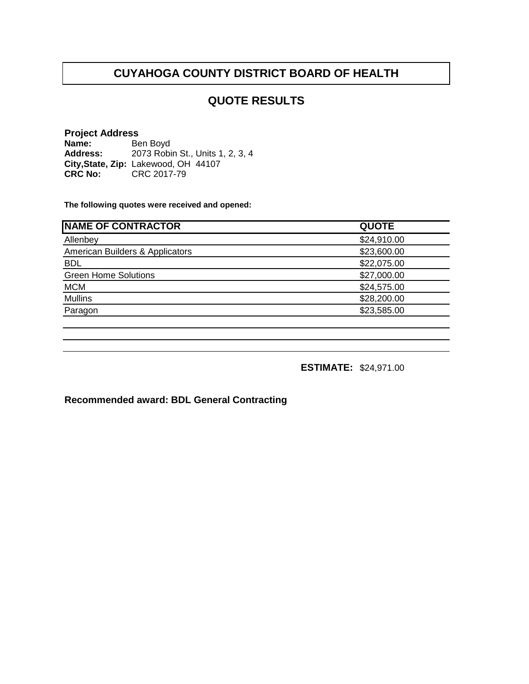# **QUOTE RESULTS**

#### **Project Address Name: Address: City,State, Zip: CRC No:** CRC 2017-79 Ben Boyd 2073 Robin St., Units 1, 2, 3, 4 Lakewood, OH 44107

**The following quotes were received and opened:**

| <b>NAME OF CONTRACTOR</b>       | <b>QUOTE</b> |
|---------------------------------|--------------|
| Allenbey                        | \$24,910.00  |
| American Builders & Applicators | \$23,600.00  |
| <b>BDL</b>                      | \$22,075.00  |
| <b>Green Home Solutions</b>     | \$27,000.00  |
| <b>MCM</b>                      | \$24,575.00  |
| <b>Mullins</b>                  | \$28,200.00  |
| Paragon                         | \$23,585.00  |
|                                 |              |

**ESTIMATE:** \$24,971.00

**Recommended award: BDL General Contracting**